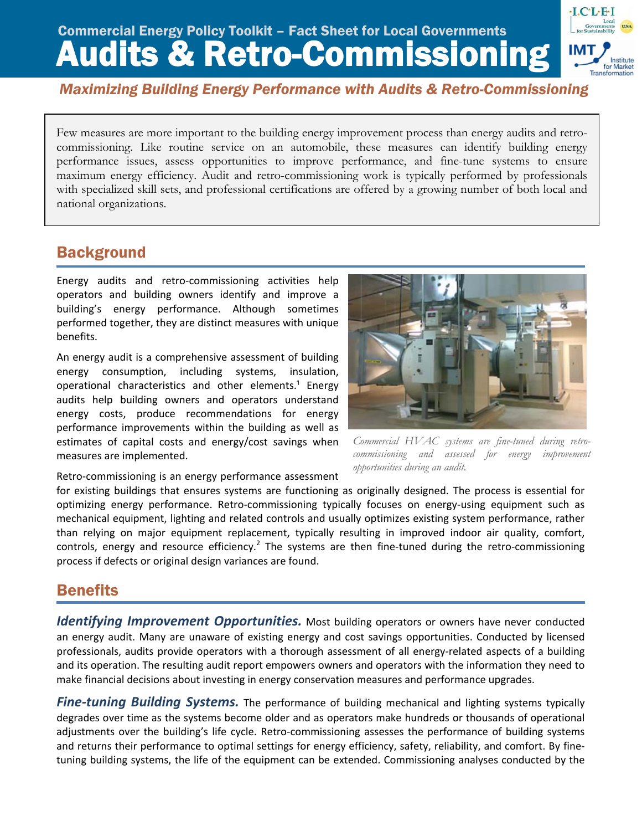# Commercial Energy Policy Toolkit – Fact Sheet for Local Governments<br>Audits & Retro-Commissioning



*Maximizing Building Energy Performance with Audits & Retro-Commissioning*

Few measures are more important to the building energy improvement process than energy audits and retrocommissioning. Like routine service on an automobile, these measures can identify building energy performance issues, assess opportunities to improve performance, and fine-tune systems to ensure maximum energy efficiency. Audit and retro-commissioning work is typically performed by professionals with specialized skill sets, and professional certifications are offered by a growing number of both local and national organizations.

# **Background**

Energy audits and retro‐commissioning activities help operators and building owners identify and improve a building's energy performance. Although sometimes performed together, they are distinct measures with unique benefits.

An energy audit is a comprehensive assessment of building energy consumption, including systems, insulation, operational characteristics and other elements.<sup>1</sup> Energy audits help building owners and operators understand energy costs, produce recommendations for energy performance improvements within the building as well as estimates of capital costs and energy/cost savings when measures are implemented.



*Commercial HVAC systems are fine-tuned during retrocommissioning and assessed for energy improvement opportunities during an audit.* 

Retro-commissioning is an energy performance assessment

for existing buildings that ensures systems are functioning as originally designed. The process is essential for optimizing energy performance. Retro-commissioning typically focuses on energy-using equipment such as mechanical equipment, lighting and related controls and usually optimizes existing system performance, rather than relying on major equipment replacement, typically resulting in improved indoor air quality, comfort, controls, energy and resource efficiency.<sup>2</sup> The systems are then fine-tuned during the retro-commissioning process if defects or original design variances are found.

# **Benefits**

*Identifying Improvement Opportunities.* Most building operators or owners have never conducted an energy audit. Many are unaware of existing energy and cost savings opportunities. Conducted by licensed professionals, audits provide operators with a thorough assessment of all energy-related aspects of a building and its operation. The resulting audit report empowers owners and operators with the information they need to make financial decisions about investing in energy conservation measures and performance upgrades.

*Fine‐tuning Building Systems.* The performance of building mechanical and lighting systems typically degrades over time as the systems become older and as operators make hundreds or thousands of operational adjustments over the building's life cycle. Retro‐commissioning assesses the performance of building systems and returns their performance to optimal settings for energy efficiency, safety, reliability, and comfort. By fine‐ tuning building systems, the life of the equipment can be extended. Commissioning analyses conducted by the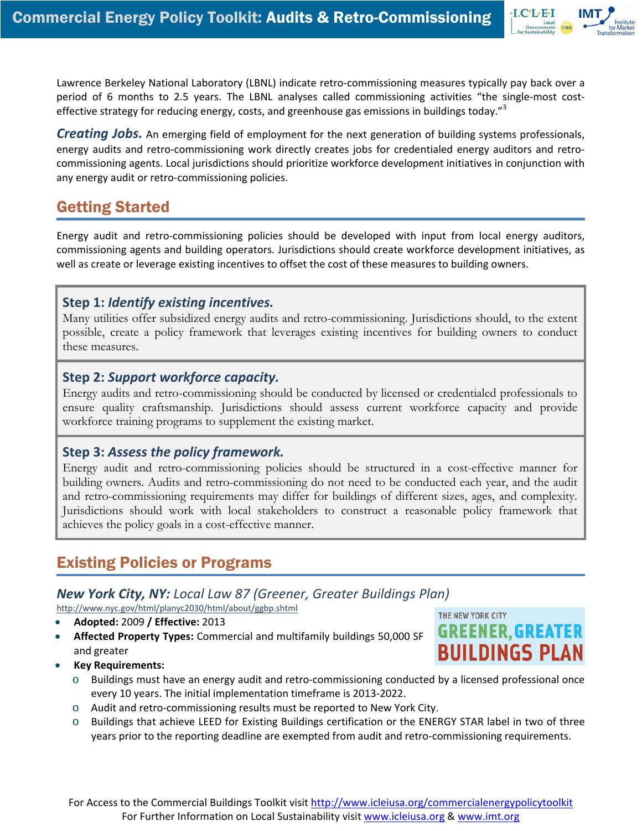Lawrence Berkeley National Laboratory (LBNL) indicate retro‐commissioning measures typically pay back over a period of 6 months to 2.5 years. The LBNL analyses called commissioning activities "the single-most costeffective strategy for reducing energy, costs, and greenhouse gas emissions in buildings today."<sup>3</sup>

*Creating Jobs.* An emerging field of employment for the next generation of building systems professionals, energy audits and retro-commissioning work directly creates jobs for credentialed energy auditors and retrocommissioning agents. Local jurisdictions should prioritize workforce development initiatives in conjunction with any energy audit or retro‐commissioning policies.

# Getting Started

Energy audit and retro‐commissioning policies should be developed with input from local energy auditors, commissioning agents and building operators. Jurisdictions should create workforce development initiatives, as well as create or leverage existing incentives to offset the cost of these measures to building owners.

#### **Step 1:** *Identify existing incentives.*

Many utilities offer subsidized energy audits and retro-commissioning. Jurisdictions should, to the extent possible, create a policy framework that leverages existing incentives for building owners to conduct these measures.

#### **Step 2:** *Support workforce capacity.*

Energy audits and retro-commissioning should be conducted by licensed or credentialed professionals to ensure quality craftsmanship. Jurisdictions should assess current workforce capacity and provide workforce training programs to supplement the existing market.

#### **Step 3:** *Assess the policy framework.*

Energy audit and retro-commissioning policies should be structured in a cost-effective manner for building owners. Audits and retro-commissioning do not need to be conducted each year, and the audit and retro-commissioning requirements may differ for buildings of different sizes, ages, and complexity. Jurisdictions should work with local stakeholders to construct a reasonable policy framework that achieves the policy goals in a cost-effective manner.

## Existing Policies or Programs

#### *New York City, NY: Local Law 87 (Greener, Greater Buildings Plan)*

<http://www.nyc.gov/html/planyc2030/html/about/ggbp.shtml>

- **Adopted:** 2009 **/ Effective:** 2013
- **Affected Property Types:** Commercial and multifamily buildings 50,000 SF and greater



 $\cdot$ I.C $\cdot$ L $\cdot$ E $\cdot$ I

- **Key Requirements:**
	- o Buildings must have an energy audit and retro‐commissioning conducted by a licensed professional once every 10 years. The initial implementation timeframe is 2013‐2022.
	- o Audit and retro‐commissioning results must be reported to New York City.
	- o Buildings that achieve LEED for Existing Buildings certification or the ENERGY STAR label in two of three years prior to the reporting deadline are exempted from audit and retro-commissioning requirements.

For Access to the Commercial Buildings Toolkit visit http://www.icleiusa.org/commercialenergypolicytoolkit For Further Information on Local Sustainability visit www.icleiusa.org & www.imt.org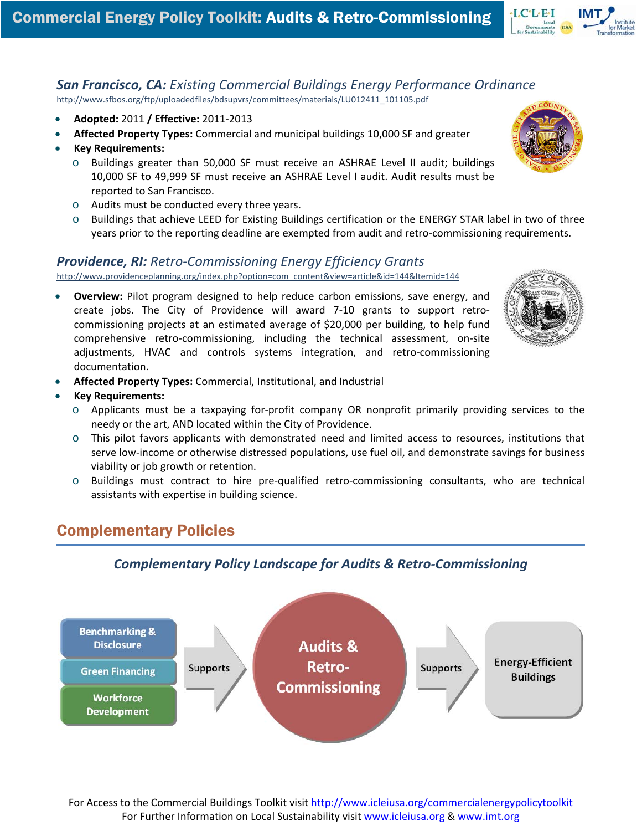

#### *San Francisco, CA: Existing Commercial Buildings Energy Performance Ordinance* [http://www.sfbos.org/ftp/uploadedfiles/bdsupvrs/committees/materials/LU012411\\_101105.pdf](http://www.sfbos.org/ftp/uploadedfiles/bdsupvrs/committees/materials/LU012411_101105.pdf)

- **Adopted:** 2011 **/ Effective:** 2011‐2013
- **Affected Property Types:** Commercial and municipal buildings 10,000 SF and greater
- **Key Requirements:**
	- $\circ$  Buildings greater than 50,000 SF must receive an ASHRAE Level II audit; buildings 10,000 SF to 49,999 SF must receive an ASHRAE Level I audit. Audit results must be reported to San Francisco.
	- o Audits must be conducted every three years.
	- o Buildings that achieve LEED for Existing Buildings certification or the ENERGY STAR label in two of three years prior to the reporting deadline are exempted from audit and retro-commissioning requirements.

#### *Providence, RI: Retro‐Commissioning Energy Efficiency Grants*

[http://www.providenceplanning.org/index.php?option=com\\_content&view=article&id=144&Itemid=144](http://www.providenceplanning.org/index.php?option=com_content&view=article&id=144&Itemid=144)

• **Overview:** Pilot program designed to help reduce carbon emissions, save energy, and create jobs. The City of Providence will award 7‐10 grants to support retro‐ commissioning projects at an estimated average of \$20,000 per building, to help fund comprehensive retro-commissioning, including the technical assessment, on-site adjustments, HVAC and controls systems integration, and retro-commissioning documentation.



- **Affected Property Types:** Commercial, Institutional, and Industrial
- **Key Requirements:**
	- o Applicants must be a taxpaying for‐profit company OR nonprofit primarily providing services to the needy or the art, AND located within the City of Providence.
	- o This pilot favors applicants with demonstrated need and limited access to resources, institutions that serve low-income or otherwise distressed populations, use fuel oil, and demonstrate savings for business viability or job growth or retention.
	- o Buildings must contract to hire pre‐qualified retro‐commissioning consultants, who are technical assistants with expertise in building science.

## Complementary Policies

#### *Complementary Policy Landscape for Audits & Retro‐Commissioning*



For Access to the Commercial Buildings Toolkit visit http://www.icleiusa.org/commercialenergypolicytoolkit For Further Information on Local Sustainability visit www.icleiusa.org & www.imt.org